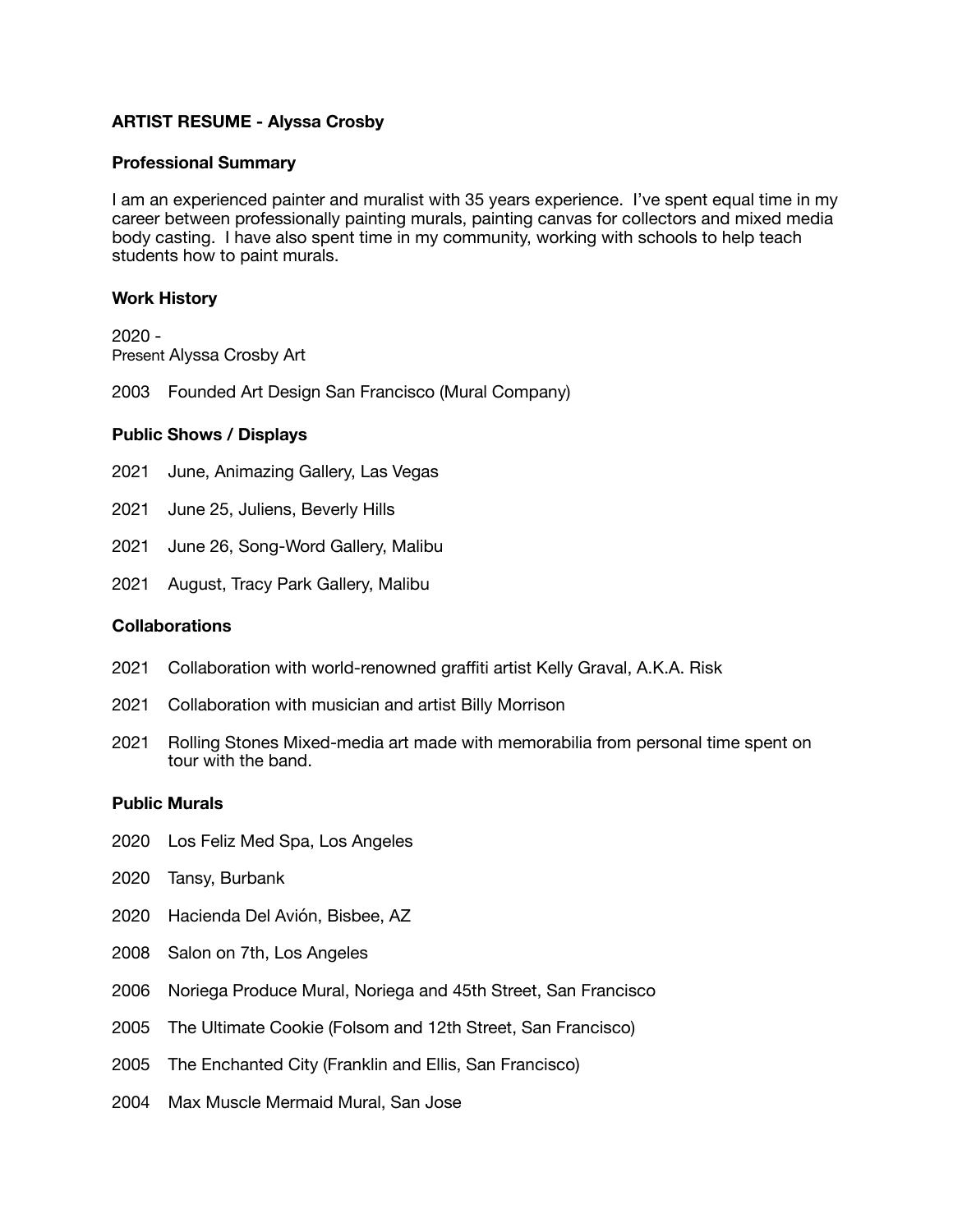## **ARTIST RESUME - Alyssa Crosby**

#### **Professional Summary**

I am an experienced painter and muralist with 35 years experience. I've spent equal time in my career between professionally painting murals, painting canvas for collectors and mixed media body casting. I have also spent time in my community, working with schools to help teach students how to paint murals.

## **Work History**

2020 - Present Alyssa Crosby Art

2003 Founded Art Design San Francisco (Mural Company)

## **Public Shows / Displays**

- 2021 June, Animazing Gallery, Las Vegas
- 2021 June 25, Juliens, Beverly Hills
- 2021 June 26, Song-Word Gallery, Malibu
- 2021 August, Tracy Park Gallery, Malibu

## **Collaborations**

- 2021 Collaboration with world-renowned graffiti artist Kelly Graval, A.K.A. Risk
- 2021 Collaboration with musician and artist Billy Morrison
- 2021 Rolling Stones Mixed-media art made with memorabilia from personal time spent on tour with the band.

#### **Public Murals**

- 2020 Los Feliz Med Spa, Los Angeles
- 2020 Tansy, Burbank
- 2020 Hacienda Del Avión, Bisbee, AZ
- 2008 Salon on 7th, Los Angeles
- 2006 Noriega Produce Mural, Noriega and 45th Street, San Francisco
- 2005 The Ultimate Cookie (Folsom and 12th Street, San Francisco)
- 2005 The Enchanted City (Franklin and Ellis, San Francisco)
- 2004 Max Muscle Mermaid Mural, San Jose